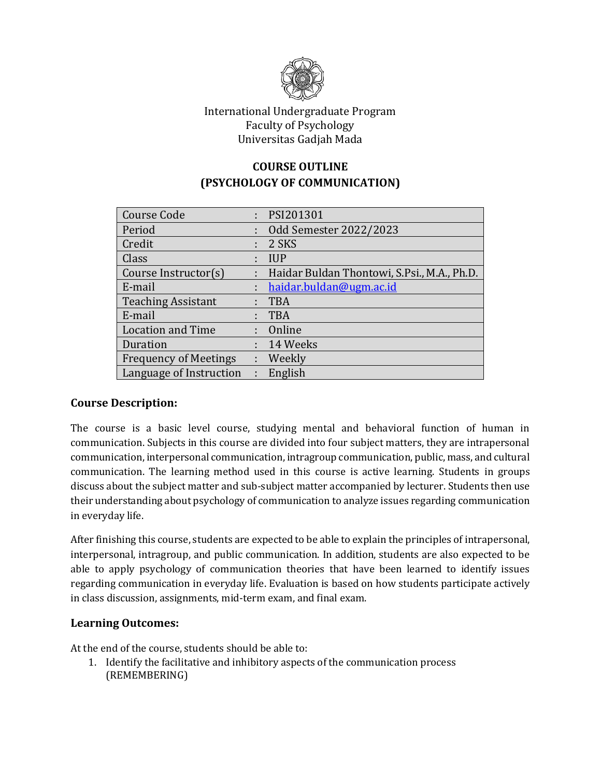

## International Undergraduate Program Faculty of Psychology Universitas Gadjah Mada

# **COURSE OUTLINE (PSYCHOLOGY OF COMMUNICATION)**

| <b>Course Code</b>           | ÷  | PSI201301                                   |
|------------------------------|----|---------------------------------------------|
| Period                       | t. | Odd Semester 2022/2023                      |
| Credit                       |    | 2 SKS                                       |
| Class                        |    | <b>IUP</b>                                  |
| Course Instructor(s)         |    | Haidar Buldan Thontowi, S.Psi., M.A., Ph.D. |
| E-mail                       |    | haidar.buldan@ugm.ac.id                     |
| <b>Teaching Assistant</b>    | ÷  | <b>TBA</b>                                  |
| E-mail                       | ÷  | <b>TBA</b>                                  |
| <b>Location and Time</b>     |    | : Online                                    |
| Duration                     |    | $: 14$ Weeks                                |
| <b>Frequency of Meetings</b> |    | : Weekly                                    |
| Language of Instruction      | ÷  | English                                     |

## **Course Description:**

The course is a basic level course, studying mental and behavioral function of human in communication. Subjects in this course are divided into four subject matters, they are intrapersonal communication, interpersonal communication, intragroup communication, public, mass, and cultural communication. The learning method used in this course is active learning. Students in groups discuss about the subject matter and sub-subject matter accompanied by lecturer. Students then use their understanding about psychology of communication to analyze issues regarding communication in everyday life.

After finishing this course, students are expected to be able to explain the principles of intrapersonal, interpersonal, intragroup, and public communication. In addition, students are also expected to be able to apply psychology of communication theories that have been learned to identify issues regarding communication in everyday life. Evaluation is based on how students participate actively in class discussion, assignments, mid-term exam, and final exam.

## **Learning Outcomes:**

At the end of the course, students should be able to:

1. Identify the facilitative and inhibitory aspects of the communication process (REMEMBERING)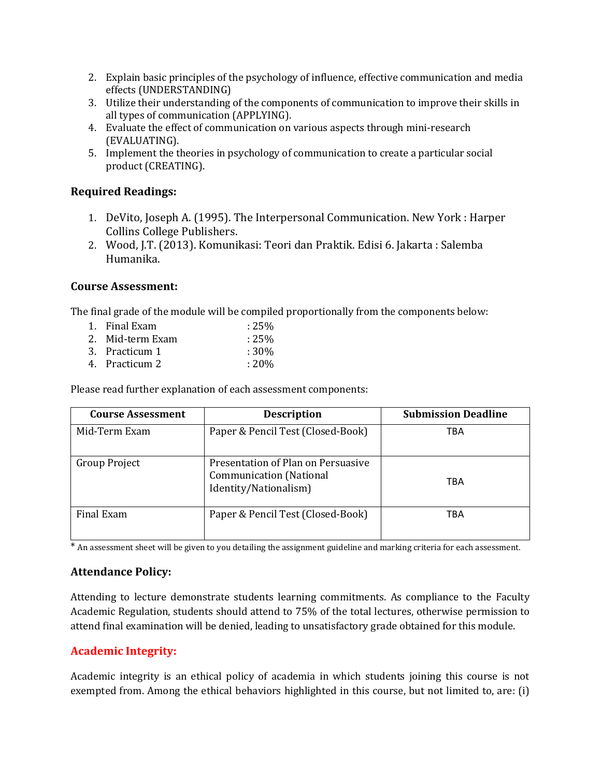- 2. Explain basic principles of the psychology of influence, effective communication and media effects (UNDERSTANDING)
- 3. Utilize their understanding of the components of communication to improve their skills in all types of communication (APPLYING).
- 4. Evaluate the effect of communication on various aspects through mini-research (EVALUATING).
- 5. Implement the theories in psychology of communication to create a particular social product (CREATING).

## **Required Readings:**

- 1. DeVito, Joseph A. (1995). The Interpersonal Communication. New York : Harper Collins College Publishers.
- 2. Wood, J.T. (2013). Komunikasi: Teori dan Praktik. Edisi 6. Jakarta : Salemba Humanika.

## **Course Assessment:**

The final grade of the module will be compiled proportionally from the components below:

1. Final Exam : 25% 2. Mid-term Exam : 25% 3. Practicum 1 : 30% 4. Practicum 2 : 20%

Please read further explanation of each assessment components:

| <b>Course Assessment</b> | <b>Description</b>                                                                            | <b>Submission Deadline</b> |
|--------------------------|-----------------------------------------------------------------------------------------------|----------------------------|
| Mid-Term Exam            | Paper & Pencil Test (Closed-Book)                                                             | TBA                        |
| Group Project            | Presentation of Plan on Persuasive<br><b>Communication</b> (National<br>Identity/Nationalism) | TBA                        |
| Final Exam               | Paper & Pencil Test (Closed-Book)                                                             | TBA                        |

\* An assessment sheet will be given to you detailing the assignment guideline and marking criteria for each assessment.

# **Attendance Policy:**

Attending to lecture demonstrate students learning commitments. As compliance to the Faculty Academic Regulation, students should attend to 75% of the total lectures, otherwise permission to attend final examination will be denied, leading to unsatisfactory grade obtained for this module.

# **Academic Integrity:**

Academic integrity is an ethical policy of academia in which students joining this course is not exempted from. Among the ethical behaviors highlighted in this course, but not limited to, are: (i)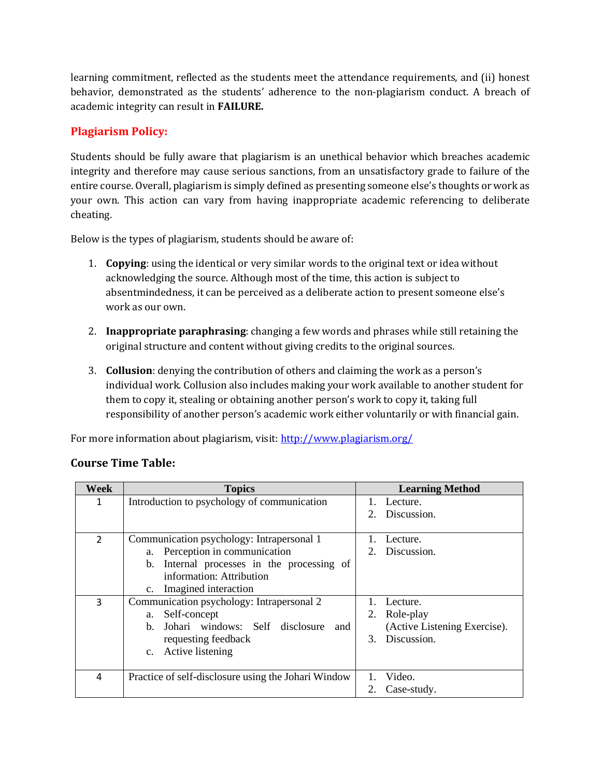learning commitment, reflected as the students meet the attendance requirements, and (ii) honest behavior, demonstrated as the students' adherence to the non-plagiarism conduct. A breach of academic integrity can result in **FAILURE.**

## **Plagiarism Policy:**

Students should be fully aware that plagiarism is an unethical behavior which breaches academic integrity and therefore may cause serious sanctions, from an unsatisfactory grade to failure of the entire course. Overall, plagiarism is simply defined as presenting someone else's thoughts or work as your own. This action can vary from having inappropriate academic referencing to deliberate cheating.

Below is the types of plagiarism, students should be aware of:

- 1. **Copying**: using the identical or very similar words to the original text or idea without acknowledging the source. Although most of the time, this action is subject to absentmindedness, it can be perceived as a deliberate action to present someone else's work as our own.
- 2. **Inappropriate paraphrasing**: changing a few words and phrases while still retaining the original structure and content without giving credits to the original sources.
- 3. **Collusion**: denying the contribution of others and claiming the work as a person's individual work. Collusion also includes making your work available to another student for them to copy it, stealing or obtaining another person's work to copy it, taking full responsibility of another person's academic work either voluntarily or with financial gain.

For more information about plagiarism, visit:<http://www.plagiarism.org/>

| <b>Week</b>    | <b>Topics</b>                                       | <b>Learning Method</b>       |
|----------------|-----------------------------------------------------|------------------------------|
| 1              | Introduction to psychology of communication         | Lecture.                     |
|                |                                                     | Discussion.                  |
|                |                                                     |                              |
| $\overline{2}$ | Communication psychology: Intrapersonal 1           | Lecture.                     |
|                | a. Perception in communication                      | Discussion.<br>2.            |
|                | b. Internal processes in the processing of          |                              |
|                | information: Attribution                            |                              |
|                | Imagined interaction<br>$c_{\cdot}$                 |                              |
| 3              | Communication psychology: Intrapersonal 2           | Lecture.                     |
|                | Self-concept<br>a.                                  | Role-play<br>2.              |
|                | Johari windows: Self disclosure and<br>$h_{-}$      | (Active Listening Exercise). |
|                | requesting feedback                                 | Discussion.<br>$\mathcal{F}$ |
|                | Active listening<br>$c_{\cdot}$                     |                              |
|                |                                                     |                              |
| 4              | Practice of self-disclosure using the Johari Window | Video.                       |
|                |                                                     | Case-study.                  |

## **Course Time Table:**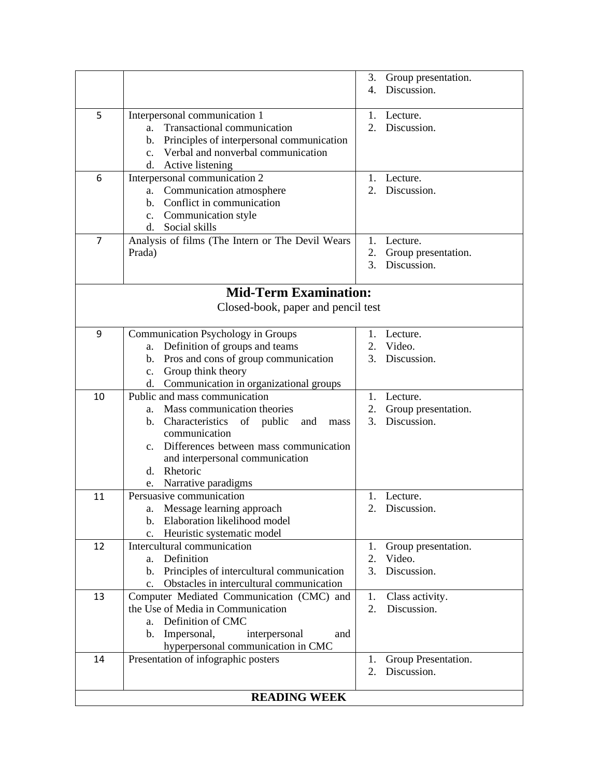|                              |                                                                                                                                                                                                                                                                                           | 3.<br>4.                   | Group presentation.<br>Discussion.             |  |  |
|------------------------------|-------------------------------------------------------------------------------------------------------------------------------------------------------------------------------------------------------------------------------------------------------------------------------------------|----------------------------|------------------------------------------------|--|--|
| 5                            | Interpersonal communication 1<br>Transactional communication<br>a.<br>Principles of interpersonal communication<br>b.<br>Verbal and nonverbal communication<br>$\mathbf{c}$ .<br>Active listening<br>d.                                                                                   |                            | Lecture.<br>Discussion.                        |  |  |
| 6                            | Interpersonal communication 2<br>Communication atmosphere<br>a.<br>Conflict in communication<br>b.<br>Communication style<br>$c_{\cdot}$<br>d. Social skills                                                                                                                              |                            | Lecture.<br>2. Discussion.                     |  |  |
| 7                            | Analysis of films (The Intern or The Devil Wears<br>Prada)                                                                                                                                                                                                                                | 1.<br>2.<br>3.             | Lecture.<br>Group presentation.<br>Discussion. |  |  |
| <b>Mid-Term Examination:</b> |                                                                                                                                                                                                                                                                                           |                            |                                                |  |  |
|                              | Closed-book, paper and pencil test                                                                                                                                                                                                                                                        |                            |                                                |  |  |
| 9                            | <b>Communication Psychology in Groups</b><br>Definition of groups and teams<br>a.<br>Pros and cons of group communication<br>$\mathbf{b}$ .                                                                                                                                               | 1.<br>2.<br>3.             | Lecture.<br>Video.<br>Discussion.              |  |  |
|                              | Group think theory<br>c.<br>d. Communication in organizational groups                                                                                                                                                                                                                     |                            |                                                |  |  |
| 10                           | Public and mass communication<br>Mass communication theories<br>a.<br>b. Characteristics<br>of<br>public<br>and<br>mass<br>communication<br>Differences between mass communication<br>$c_{\cdot}$<br>and interpersonal communication<br>Rhetoric<br>$d_{\cdot}$<br>e. Narrative paradigms | 1.<br>2.<br>3 <sub>1</sub> | Lecture.<br>Group presentation.<br>Discussion. |  |  |
| 11                           | Persuasive communication<br>a. Message learning approach<br>Elaboration likelihood model<br>$\mathbf{b}$ .<br>Heuristic systematic model<br>c.                                                                                                                                            | 1.                         | Lecture.<br>2. Discussion.                     |  |  |
| 12                           | Intercultural communication<br>Definition<br>a.<br>Principles of intercultural communication<br>$\mathbf{b}$ .<br>Obstacles in intercultural communication<br>$\mathbf{c}$ .                                                                                                              | 1.<br>2.<br>3.             | Group presentation.<br>Video.<br>Discussion.   |  |  |
| 13                           | Computer Mediated Communication (CMC) and<br>the Use of Media in Communication<br>Definition of CMC<br>a.<br>$\mathbf{b}$ .<br>Impersonal,<br>interpersonal<br>and<br>hyperpersonal communication in CMC                                                                                  | 1.<br>2.                   | Class activity.<br>Discussion.                 |  |  |
| 14                           | Presentation of infographic posters                                                                                                                                                                                                                                                       | 1.<br>2.                   | Group Presentation.<br>Discussion.             |  |  |
| <b>READING WEEK</b>          |                                                                                                                                                                                                                                                                                           |                            |                                                |  |  |